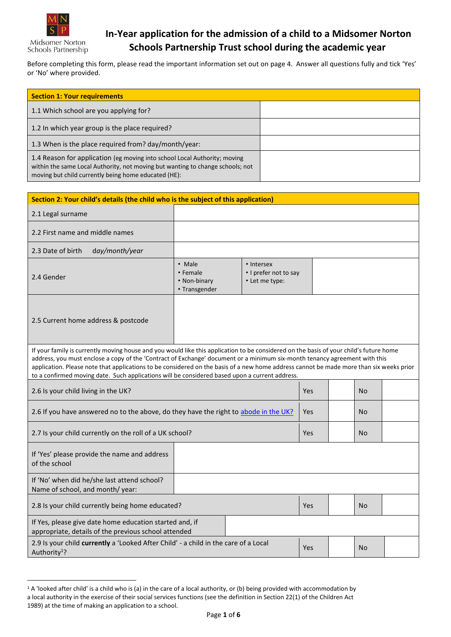

Midsomer Norton Schools Partnership

1

### **In-Year application for the admission of a child to a Midsomer Norton Schools Partnership Trust school during the academic year**

Before completing this form, please read the important information set out on page 4. Answer all questions fully and tick 'Yes' or 'No' where provided.

| <b>Section 1: Your requirements</b>                                                                                                                                                                                 |  |
|---------------------------------------------------------------------------------------------------------------------------------------------------------------------------------------------------------------------|--|
| 1.1 Which school are you applying for?                                                                                                                                                                              |  |
| 1.2 In which year group is the place required?                                                                                                                                                                      |  |
| 1.3 When is the place required from? day/month/year:                                                                                                                                                                |  |
| 1.4 Reason for application (eg moving into school Local Authority; moving<br>within the same Local Authority, not moving but wanting to change schools; not<br>moving but child currently being home educated (HE): |  |

| Section 2: Your child's details (the child who is the subject of this application)                                                                                                                                                                                                                                                                                                                                                                                                                                |                                                                                                              |  |     |  |           |  |
|-------------------------------------------------------------------------------------------------------------------------------------------------------------------------------------------------------------------------------------------------------------------------------------------------------------------------------------------------------------------------------------------------------------------------------------------------------------------------------------------------------------------|--------------------------------------------------------------------------------------------------------------|--|-----|--|-----------|--|
| 2.1 Legal surname                                                                                                                                                                                                                                                                                                                                                                                                                                                                                                 |                                                                                                              |  |     |  |           |  |
| 2.2 First name and middle names                                                                                                                                                                                                                                                                                                                                                                                                                                                                                   |                                                                                                              |  |     |  |           |  |
| 2.3 Date of birth<br>day/month/year                                                                                                                                                                                                                                                                                                                                                                                                                                                                               |                                                                                                              |  |     |  |           |  |
| 2.4 Gender                                                                                                                                                                                                                                                                                                                                                                                                                                                                                                        | • Male<br>• Intersex<br>• Female<br>• I prefer not to say<br>• Non-binary<br>• Let me type:<br>• Transgender |  |     |  |           |  |
| 2.5 Current home address & postcode                                                                                                                                                                                                                                                                                                                                                                                                                                                                               |                                                                                                              |  |     |  |           |  |
| If your family is currently moving house and you would like this application to be considered on the basis of your child's future home<br>address, you must enclose a copy of the 'Contract of Exchange' document or a minimum six-month tenancy agreement with this<br>application. Please note that applications to be considered on the basis of a new home address cannot be made more than six weeks prior<br>to a confirmed moving date. Such applications will be considered based upon a current address. |                                                                                                              |  |     |  |           |  |
| 2.6 Is your child living in the UK?                                                                                                                                                                                                                                                                                                                                                                                                                                                                               |                                                                                                              |  | Yes |  | No        |  |
| 2.6 If you have answered no to the above, do they have the right to abode in the UK?                                                                                                                                                                                                                                                                                                                                                                                                                              |                                                                                                              |  | Yes |  | No.       |  |
| 2.7 Is your child currently on the roll of a UK school?                                                                                                                                                                                                                                                                                                                                                                                                                                                           |                                                                                                              |  | Yes |  | <b>No</b> |  |
| If 'Yes' please provide the name and address<br>of the school                                                                                                                                                                                                                                                                                                                                                                                                                                                     |                                                                                                              |  |     |  |           |  |
| If 'No' when did he/she last attend school?<br>Name of school, and month/ year:                                                                                                                                                                                                                                                                                                                                                                                                                                   |                                                                                                              |  |     |  |           |  |
| 2.8 Is your child currently being home educated?                                                                                                                                                                                                                                                                                                                                                                                                                                                                  |                                                                                                              |  | Yes |  | <b>No</b> |  |
| If Yes, please give date home education started and, if<br>appropriate, details of the previous school attended                                                                                                                                                                                                                                                                                                                                                                                                   |                                                                                                              |  |     |  |           |  |
| 2.9 Is your child currently a 'Looked After Child' - a child in the care of a Local<br>Authority <sup>1</sup> ?                                                                                                                                                                                                                                                                                                                                                                                                   |                                                                                                              |  | Yes |  | <b>No</b> |  |

<sup>&</sup>lt;sup>1</sup> A 'looked after child' is a child who is (a) in the care of a local authority, or (b) being provided with accommodation by a local authority in the exercise of their social services functions (see the definition in Section 22(1) of the Children Act 1989) at the time of making an application to a school.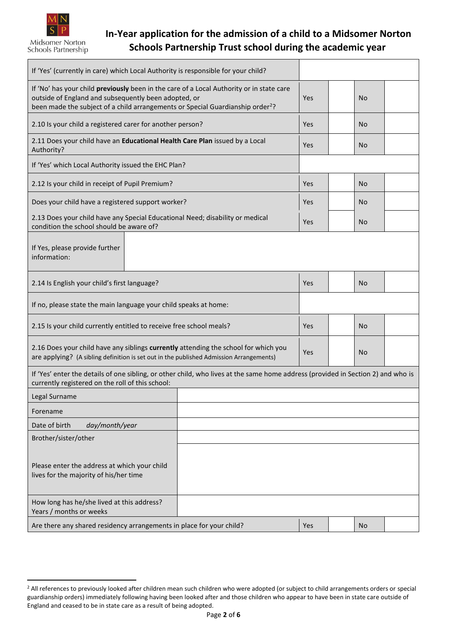

1

### **In-Year application for the admission of a child to a Midsomer Norton Schools Partnership Trust school during the academic year**

| If 'Yes' (currently in care) which Local Authority is responsible for your child?                                                                                                                                                              |     |            |           |  |
|------------------------------------------------------------------------------------------------------------------------------------------------------------------------------------------------------------------------------------------------|-----|------------|-----------|--|
| If 'No' has your child previously been in the care of a Local Authority or in state care<br>outside of England and subsequently been adopted, or<br>been made the subject of a child arrangements or Special Guardianship order <sup>2</sup> ? | Yes | No         |           |  |
| 2.10 Is your child a registered carer for another person?                                                                                                                                                                                      |     | <b>Yes</b> | No        |  |
| 2.11 Does your child have an Educational Health Care Plan issued by a Local<br>Authority?                                                                                                                                                      |     | Yes        | No        |  |
| If 'Yes' which Local Authority issued the EHC Plan?                                                                                                                                                                                            |     |            |           |  |
| 2.12 Is your child in receipt of Pupil Premium?                                                                                                                                                                                                |     | Yes        | No.       |  |
| Does your child have a registered support worker?                                                                                                                                                                                              |     | Yes        | No        |  |
| 2.13 Does your child have any Special Educational Need; disability or medical<br>condition the school should be aware of?                                                                                                                      |     | Yes        | No.       |  |
| If Yes, please provide further<br>information:                                                                                                                                                                                                 |     |            |           |  |
| 2.14 Is English your child's first language?                                                                                                                                                                                                   |     |            | <b>No</b> |  |
| If no, please state the main language your child speaks at home:                                                                                                                                                                               |     |            |           |  |
| 2.15 Is your child currently entitled to receive free school meals?                                                                                                                                                                            |     |            | No.       |  |
| 2.16 Does your child have any siblings currently attending the school for which you<br>are applying? (A sibling definition is set out in the published Admission Arrangements)                                                                 |     | Yes        | <b>No</b> |  |
| If 'Yes' enter the details of one sibling, or other child, who lives at the same home address (provided in Section 2) and who is<br>currently registered on the roll of this school:                                                           |     |            |           |  |
| Legal Surname                                                                                                                                                                                                                                  |     |            |           |  |
| Forename                                                                                                                                                                                                                                       |     |            |           |  |
| Date of birth<br>day/month/year                                                                                                                                                                                                                |     |            |           |  |
| Brother/sister/other                                                                                                                                                                                                                           |     |            |           |  |
| Please enter the address at which your child<br>lives for the majority of his/her time                                                                                                                                                         |     |            |           |  |
| How long has he/she lived at this address?<br>Years / months or weeks                                                                                                                                                                          |     |            |           |  |
| Are there any shared residency arrangements in place for your child?                                                                                                                                                                           |     | Yes        | <b>No</b> |  |

<sup>&</sup>lt;sup>2</sup> All references to previously looked after children mean such children who were adopted (or subject to child arrangements orders or special guardianship orders) immediately following having been looked after and those children who appear to have been in state care outside of England and ceased to be in state care as a result of being adopted.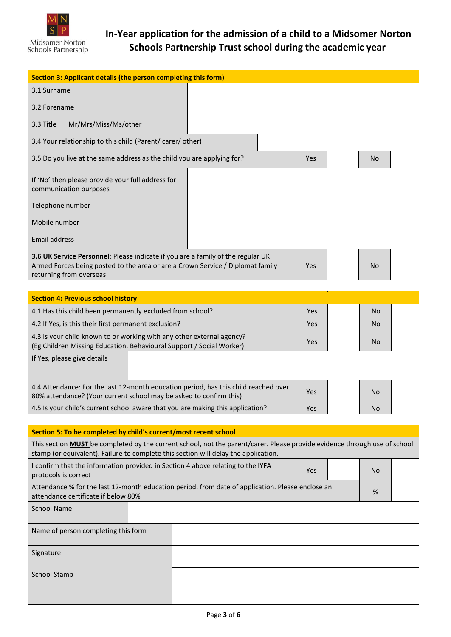

# **In-Year application for the admission of a child to a Midsomer Norton Schools Partnership Trust school during the academic year**

| Section 3: Applicant details (the person completing this form)                                                                                                                                                          |  |  |  |  |  |  |
|-------------------------------------------------------------------------------------------------------------------------------------------------------------------------------------------------------------------------|--|--|--|--|--|--|
| 3.1 Surname                                                                                                                                                                                                             |  |  |  |  |  |  |
| 3.2 Forename                                                                                                                                                                                                            |  |  |  |  |  |  |
| Mr/Mrs/Miss/Ms/other<br>3.3 Title                                                                                                                                                                                       |  |  |  |  |  |  |
| 3.4 Your relationship to this child (Parent/ carer/ other)                                                                                                                                                              |  |  |  |  |  |  |
| 3.5 Do you live at the same address as the child you are applying for?<br>Yes<br><b>No</b>                                                                                                                              |  |  |  |  |  |  |
| If 'No' then please provide your full address for<br>communication purposes                                                                                                                                             |  |  |  |  |  |  |
| Telephone number                                                                                                                                                                                                        |  |  |  |  |  |  |
| Mobile number                                                                                                                                                                                                           |  |  |  |  |  |  |
| Email address                                                                                                                                                                                                           |  |  |  |  |  |  |
| <b>3.6 UK Service Personnel:</b> Please indicate if you are a family of the regular UK<br>Armed Forces being posted to the area or are a Crown Service / Diplomat family<br>Yes<br><b>No</b><br>returning from overseas |  |  |  |  |  |  |

| <b>Section 4: Previous school history</b>                                                                                                                 |     |           |  |
|-----------------------------------------------------------------------------------------------------------------------------------------------------------|-----|-----------|--|
| 4.1 Has this child been permanently excluded from school?                                                                                                 | Yes | No.       |  |
| 4.2 If Yes, is this their first permanent exclusion?                                                                                                      | Yes | No.       |  |
| 4.3 Is your child known to or working with any other external agency?<br>(Eg Children Missing Education. Behavioural Support / Social Worker)             |     | <b>No</b> |  |
| If Yes, please give details                                                                                                                               |     |           |  |
| 4.4 Attendance: For the last 12-month education period, has this child reached over<br>80% attendance? (Your current school may be asked to confirm this) |     | No.       |  |
| 4.5 Is your child's current school aware that you are making this application?                                                                            |     | No.       |  |

| Section 5: To be completed by child's current/most recent school                                                                        |                                                                                                                                                                                                                         |  |  |     |   |  |
|-----------------------------------------------------------------------------------------------------------------------------------------|-------------------------------------------------------------------------------------------------------------------------------------------------------------------------------------------------------------------------|--|--|-----|---|--|
|                                                                                                                                         | This section <b>MUST</b> be completed by the current school, not the parent/carer. Please provide evidence through use of school<br>stamp (or equivalent). Failure to complete this section will delay the application. |  |  |     |   |  |
| protocols is correct                                                                                                                    | I confirm that the information provided in Section 4 above relating to the IYFA<br><b>Yes</b>                                                                                                                           |  |  | No. |   |  |
| Attendance % for the last 12-month education period, from date of application. Please enclose an<br>attendance certificate if below 80% |                                                                                                                                                                                                                         |  |  |     | % |  |
| <b>School Name</b>                                                                                                                      |                                                                                                                                                                                                                         |  |  |     |   |  |
| Name of person completing this form                                                                                                     |                                                                                                                                                                                                                         |  |  |     |   |  |
| Signature                                                                                                                               |                                                                                                                                                                                                                         |  |  |     |   |  |
| School Stamp                                                                                                                            |                                                                                                                                                                                                                         |  |  |     |   |  |
|                                                                                                                                         |                                                                                                                                                                                                                         |  |  |     |   |  |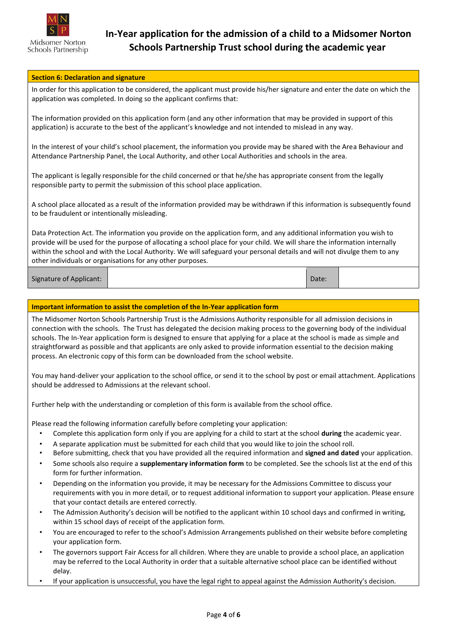

#### **Section 6: Declaration and signature**

In order for this application to be considered, the applicant must provide his/her signature and enter the date on which the application was completed. In doing so the applicant confirms that:

The information provided on this application form (and any other information that may be provided in support of this application) is accurate to the best of the applicant's knowledge and not intended to mislead in any way.

In the interest of your child's school placement, the information you provide may be shared with the Area Behaviour and Attendance Partnership Panel, the Local Authority, and other Local Authorities and schools in the area.

The applicant is legally responsible for the child concerned or that he/she has appropriate consent from the legally responsible party to permit the submission of this school place application.

A school place allocated as a result of the information provided may be withdrawn if this information is subsequently found to be fraudulent or intentionally misleading.

Data Protection Act. The information you provide on the application form, and any additional information you wish to provide will be used for the purpose of allocating a school place for your child. We will share the information internally within the school and with the Local Authority. We will safeguard your personal details and will not divulge them to any other individuals or organisations for any other purposes.

Signature of Applicant: Date:

#### **Important information to assist the completion of the In-Year application form**

The Midsomer Norton Schools Partnership Trust is the Admissions Authority responsible for all admission decisions in connection with the schools. The Trust has delegated the decision making process to the governing body of the individual schools. The In-Year application form is designed to ensure that applying for a place at the school is made as simple and straightforward as possible and that applicants are only asked to provide information essential to the decision making process. An electronic copy of this form can be downloaded from the school website.

You may hand-deliver your application to the school office, or send it to the school by post or email attachment. Applications should be addressed to Admissions at the relevant school.

Further help with the understanding or completion of this form is available from the school office.

Please read the following information carefully before completing your application:

- Complete this application form only if you are applying for a child to start at the school **during** the academic year.
- A separate application must be submitted for each child that you would like to join the school roll.
- Before submitting, check that you have provided all the required information and **signed and dated** your application.
- Some schools also require a **supplementary information form** to be completed. See the schools list at the end of this form for further information.
- Depending on the information you provide, it may be necessary for the Admissions Committee to discuss your requirements with you in more detail, or to request additional information to support your application. Please ensure that your contact details are entered correctly.
- The Admission Authority's decision will be notified to the applicant within 10 school days and confirmed in writing, within 15 school days of receipt of the application form.
- You are encouraged to refer to the school's Admission Arrangements published on their website before completing your application form.
- The governors support Fair Access for all children. Where they are unable to provide a school place, an application may be referred to the Local Authority in order that a suitable alternative school place can be identified without delay.
- If your application is unsuccessful, you have the legal right to appeal against the Admission Authority's decision.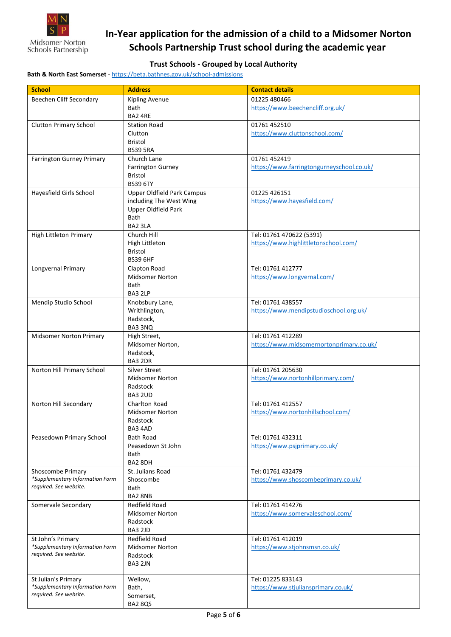

## **In-Year application for the admission of a child to a Midsomer Norton Schools Partnership Trust school during the academic year**

### **Trust Schools - Grouped by Local Authority**

**Bath & North East Somerset** - <https://beta.bathnes.gov.uk/school-admissions>

| <b>School</b>                    | <b>Address</b>                             | <b>Contact details</b>                                |
|----------------------------------|--------------------------------------------|-------------------------------------------------------|
| Beechen Cliff Secondary          | <b>Kipling Avenue</b>                      | 01225 480466                                          |
|                                  | <b>Bath</b>                                | https://www.beechencliff.org.uk/                      |
|                                  | BA2 4RE                                    |                                                       |
| <b>Clutton Primary School</b>    | <b>Station Road</b>                        | 01761 452510                                          |
|                                  | Clutton                                    | https://www.cluttonschool.com/                        |
|                                  | <b>Bristol</b>                             |                                                       |
|                                  | <b>BS39 5RA</b>                            |                                                       |
| <b>Farrington Gurney Primary</b> | Church Lane                                | 01761 452419                                          |
|                                  | <b>Farrington Gurney</b><br><b>Bristol</b> | https://www.farringtongurneyschool.co.uk/             |
|                                  | <b>BS39 6TY</b>                            |                                                       |
| Hayesfield Girls School          | <b>Upper Oldfield Park Campus</b>          | 01225 426151                                          |
|                                  | including The West Wing                    | https://www.hayesfield.com/                           |
|                                  | Upper Oldfield Park                        |                                                       |
|                                  | Bath                                       |                                                       |
|                                  | BA2 3LA                                    |                                                       |
| <b>High Littleton Primary</b>    | Church Hill                                | Tel: 01761 470622 (5391)                              |
|                                  | High Littleton                             | https://www.highlittletonschool.com/                  |
|                                  | <b>Bristol</b>                             |                                                       |
|                                  | <b>BS39 6HF</b>                            |                                                       |
| Longvernal Primary               | Clapton Road                               | Tel: 01761 412777                                     |
|                                  | <b>Midsomer Norton</b>                     | https://www.longvernal.com/                           |
|                                  | Bath<br>BA3 2LP                            |                                                       |
| Mendip Studio School             | Knobsbury Lane,                            | Tel: 01761 438557                                     |
|                                  | Writhlington,                              | https://www.mendipstudioschool.org.uk/                |
|                                  | Radstock,                                  |                                                       |
|                                  | BA3 3NQ                                    |                                                       |
| <b>Midsomer Norton Primary</b>   | High Street,                               | Tel: 01761 412289                                     |
|                                  | Midsomer Norton,                           | https://www.midsomernortonprimary.co.uk/              |
|                                  | Radstock,                                  |                                                       |
|                                  | BA3 2DR                                    |                                                       |
| Norton Hill Primary School       | Silver Street                              | Tel: 01761 205630                                     |
|                                  | <b>Midsomer Norton</b>                     | https://www.nortonhillprimary.com/                    |
|                                  | Radstock                                   |                                                       |
|                                  | <b>BA3 2UD</b><br>Charlton Road            | Tel: 01761 412557                                     |
| Norton Hill Secondary            | <b>Midsomer Norton</b>                     | https://www.nortonhillschool.com/                     |
|                                  | Radstock                                   |                                                       |
|                                  | BA3 4AD                                    |                                                       |
| Peasedown Primary School         | <b>Bath Road</b>                           | Tel: 01761 432311                                     |
|                                  | Peasedown St John                          | https://www.psjprimary.co.uk/                         |
|                                  | <b>Bath</b>                                |                                                       |
|                                  | BA2 8DH                                    |                                                       |
| Shoscombe Primary                | St. Julians Road                           | Tel: 01761 432479                                     |
| *Supplementary Information Form  | Shoscombe                                  | https://www.shoscombeprimary.co.uk/                   |
| required. See website.           | Bath                                       |                                                       |
|                                  | BA2 8NB                                    |                                                       |
| Somervale Secondary              | Redfield Road<br><b>Midsomer Norton</b>    | Tel: 01761 414276<br>https://www.somervaleschool.com/ |
|                                  | Radstock                                   |                                                       |
|                                  | <b>BA3 2JD</b>                             |                                                       |
| St John's Primary                | Redfield Road                              | Tel: 01761 412019                                     |
| *Supplementary Information Form  | <b>Midsomer Norton</b>                     | https://www.stjohnsmsn.co.uk/                         |
| required. See website.           | Radstock                                   |                                                       |
|                                  | BA3 2JN                                    |                                                       |
| St Julian's Primary              | Wellow,                                    | Tel: 01225 833143                                     |
| *Supplementary Information Form  | Bath,                                      | https://www.stjuliansprimary.co.uk/                   |
| required. See website.           | Somerset,                                  |                                                       |
|                                  | <b>BA2 8QS</b>                             |                                                       |